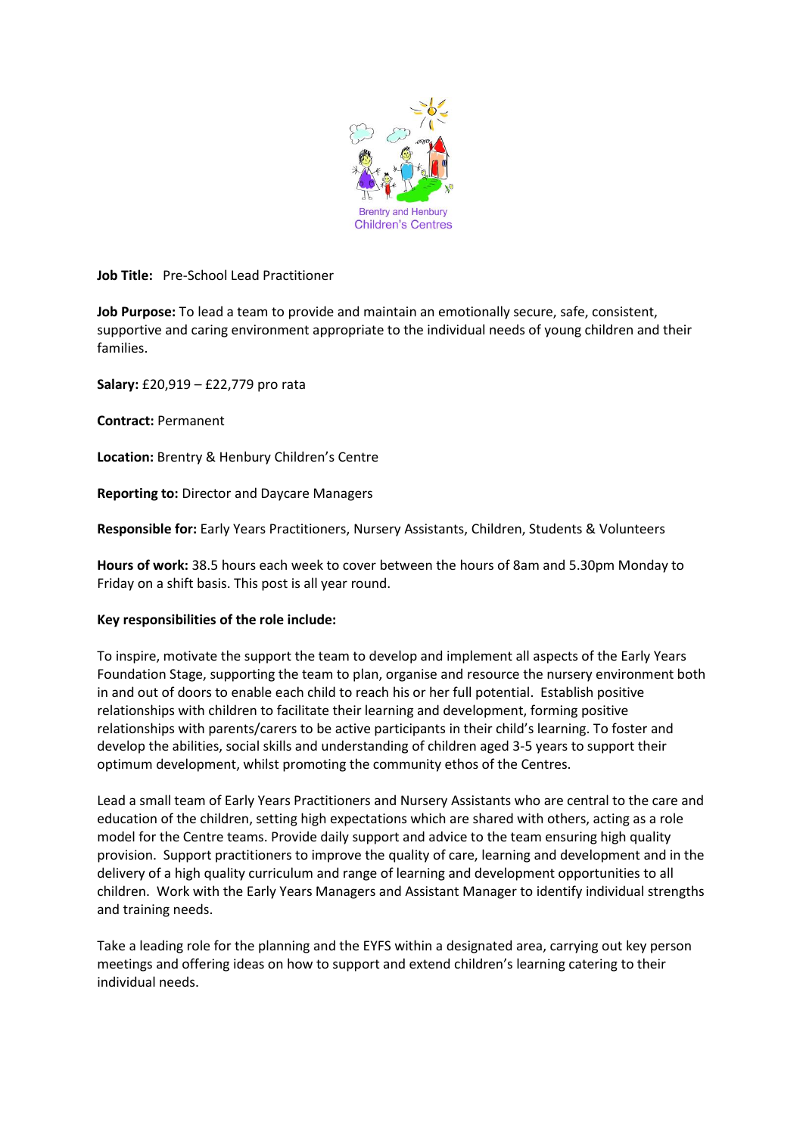

# **Job Title:** Pre-School Lead Practitioner

**Job Purpose:** To lead a team to provide and maintain an emotionally secure, safe, consistent, supportive and caring environment appropriate to the individual needs of young children and their families.

**Salary:** £20,919 – £22,779 pro rata

**Contract:** Permanent

**Location:** Brentry & Henbury Children's Centre

**Reporting to:** Director and Daycare Managers

**Responsible for:** Early Years Practitioners, Nursery Assistants, Children, Students & Volunteers

**Hours of work:** 38.5 hours each week to cover between the hours of 8am and 5.30pm Monday to Friday on a shift basis. This post is all year round.

### **Key responsibilities of the role include:**

To inspire, motivate the support the team to develop and implement all aspects of the Early Years Foundation Stage, supporting the team to plan, organise and resource the nursery environment both in and out of doors to enable each child to reach his or her full potential. Establish positive relationships with children to facilitate their learning and development, forming positive relationships with parents/carers to be active participants in their child's learning. To foster and develop the abilities, social skills and understanding of children aged 3-5 years to support their optimum development, whilst promoting the community ethos of the Centres.

Lead a small team of Early Years Practitioners and Nursery Assistants who are central to the care and education of the children, setting high expectations which are shared with others, acting as a role model for the Centre teams. Provide daily support and advice to the team ensuring high quality provision. Support practitioners to improve the quality of care, learning and development and in the delivery of a high quality curriculum and range of learning and development opportunities to all children. Work with the Early Years Managers and Assistant Manager to identify individual strengths and training needs.

Take a leading role for the planning and the EYFS within a designated area, carrying out key person meetings and offering ideas on how to support and extend children's learning catering to their individual needs.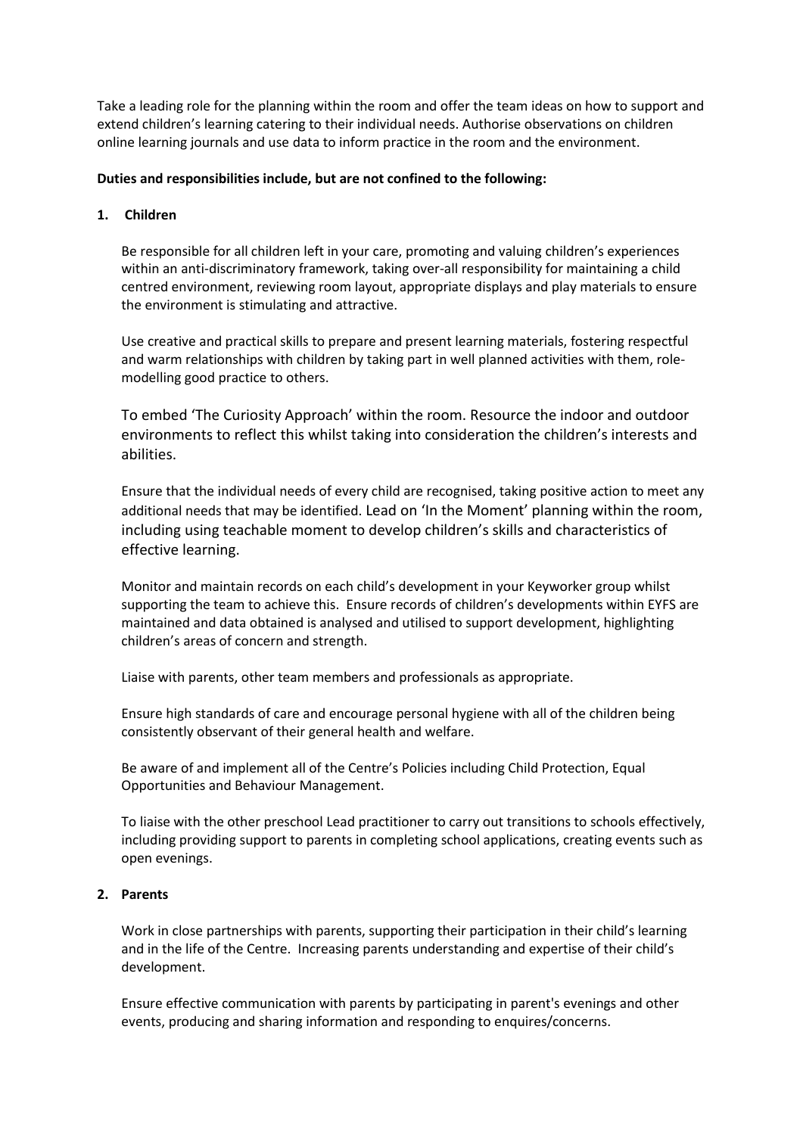Take a leading role for the planning within the room and offer the team ideas on how to support and extend children's learning catering to their individual needs. Authorise observations on children online learning journals and use data to inform practice in the room and the environment.

# **Duties and responsibilities include, but are not confined to the following:**

## **1. Children**

Be responsible for all children left in your care, promoting and valuing children's experiences within an anti-discriminatory framework, taking over-all responsibility for maintaining a child centred environment, reviewing room layout, appropriate displays and play materials to ensure the environment is stimulating and attractive.

Use creative and practical skills to prepare and present learning materials, fostering respectful and warm relationships with children by taking part in well planned activities with them, rolemodelling good practice to others.

To embed 'The Curiosity Approach' within the room. Resource the indoor and outdoor environments to reflect this whilst taking into consideration the children's interests and abilities.

Ensure that the individual needs of every child are recognised, taking positive action to meet any additional needs that may be identified. Lead on 'In the Moment' planning within the room, including using teachable moment to develop children's skills and characteristics of effective learning.

Monitor and maintain records on each child's development in your Keyworker group whilst supporting the team to achieve this. Ensure records of children's developments within EYFS are maintained and data obtained is analysed and utilised to support development, highlighting children's areas of concern and strength.

Liaise with parents, other team members and professionals as appropriate.

Ensure high standards of care and encourage personal hygiene with all of the children being consistently observant of their general health and welfare.

Be aware of and implement all of the Centre's Policies including Child Protection, Equal Opportunities and Behaviour Management.

To liaise with the other preschool Lead practitioner to carry out transitions to schools effectively, including providing support to parents in completing school applications, creating events such as open evenings.

## **2. Parents**

Work in close partnerships with parents, supporting their participation in their child's learning and in the life of the Centre. Increasing parents understanding and expertise of their child's development.

Ensure effective communication with parents by participating in parent's evenings and other events, producing and sharing information and responding to enquires/concerns.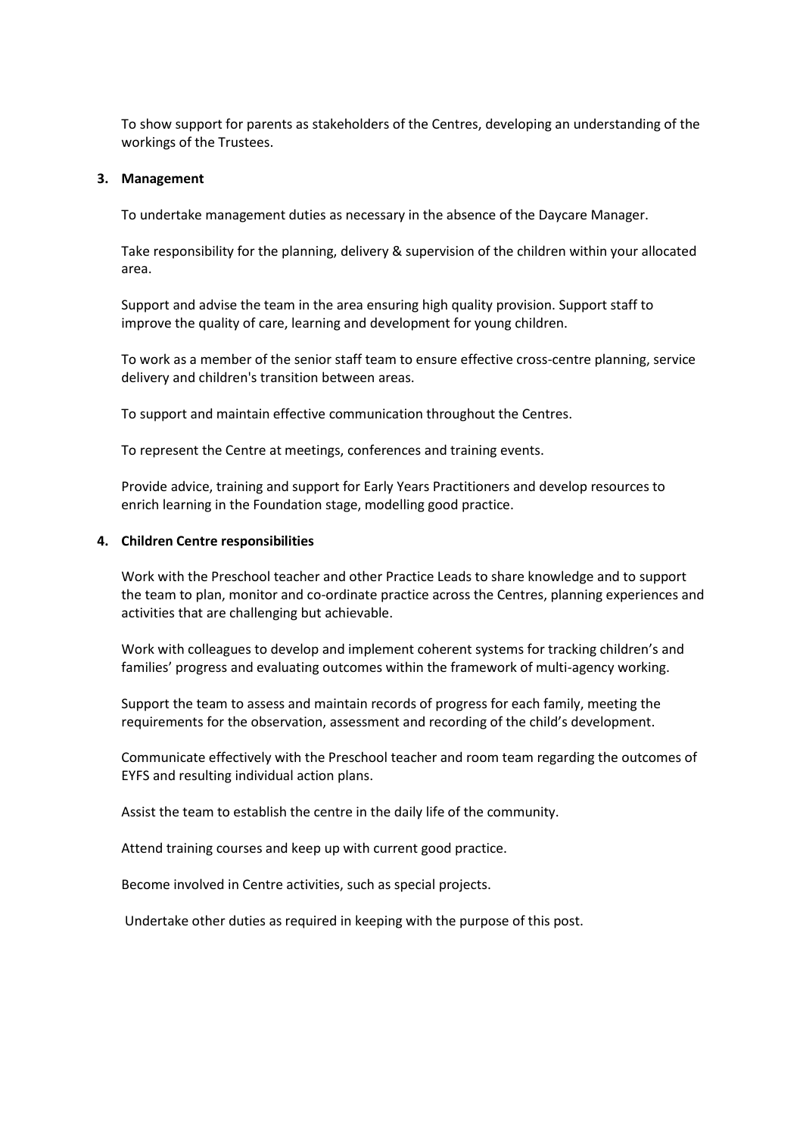To show support for parents as stakeholders of the Centres, developing an understanding of the workings of the Trustees.

#### **3. Management**

To undertake management duties as necessary in the absence of the Daycare Manager.

Take responsibility for the planning, delivery & supervision of the children within your allocated area.

Support and advise the team in the area ensuring high quality provision. Support staff to improve the quality of care, learning and development for young children.

To work as a member of the senior staff team to ensure effective cross-centre planning, service delivery and children's transition between areas.

To support and maintain effective communication throughout the Centres.

To represent the Centre at meetings, conferences and training events.

Provide advice, training and support for Early Years Practitioners and develop resources to enrich learning in the Foundation stage, modelling good practice.

#### **4. Children Centre responsibilities**

Work with the Preschool teacher and other Practice Leads to share knowledge and to support the team to plan, monitor and co-ordinate practice across the Centres, planning experiences and activities that are challenging but achievable.

Work with colleagues to develop and implement coherent systems for tracking children's and families' progress and evaluating outcomes within the framework of multi-agency working.

Support the team to assess and maintain records of progress for each family, meeting the requirements for the observation, assessment and recording of the child's development.

Communicate effectively with the Preschool teacher and room team regarding the outcomes of EYFS and resulting individual action plans.

Assist the team to establish the centre in the daily life of the community.

Attend training courses and keep up with current good practice.

Become involved in Centre activities, such as special projects.

Undertake other duties as required in keeping with the purpose of this post.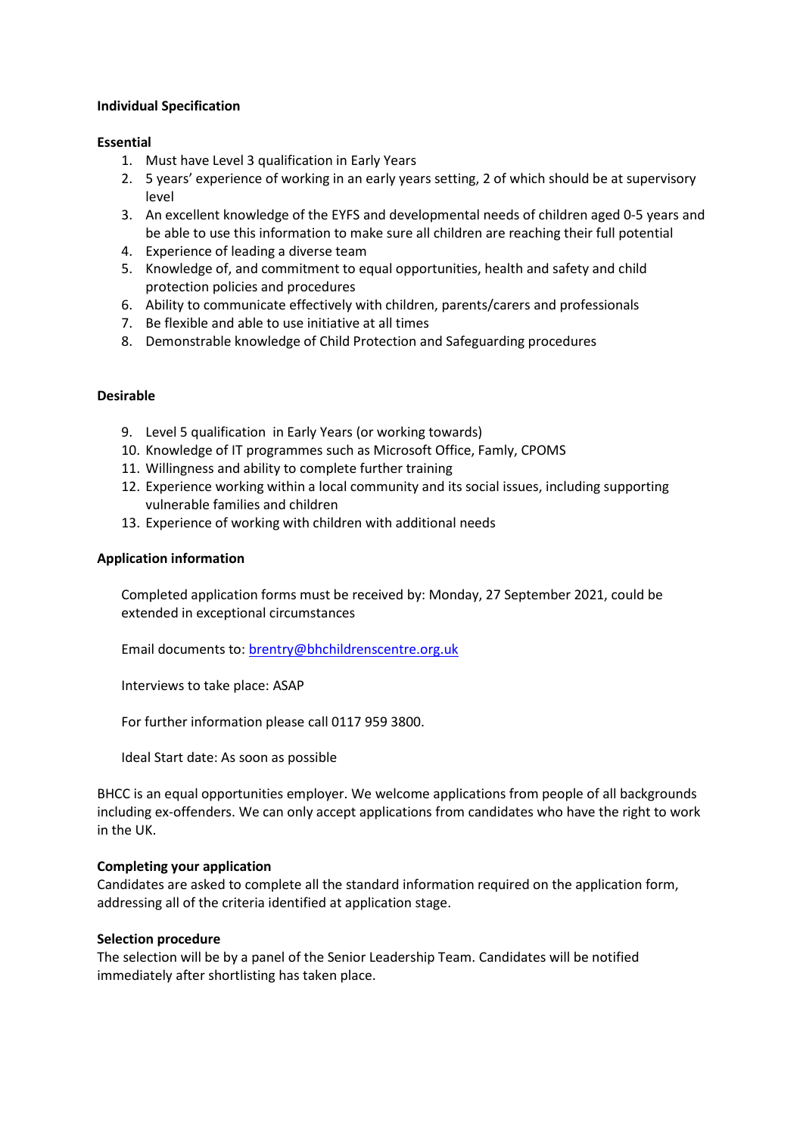# **Individual Specification**

## **Essential**

- 1. Must have Level 3 qualification in Early Years
- 2. 5 years' experience of working in an early years setting, 2 of which should be at supervisory level
- 3. An excellent knowledge of the EYFS and developmental needs of children aged 0-5 years and be able to use this information to make sure all children are reaching their full potential
- 4. Experience of leading a diverse team
- 5. Knowledge of, and commitment to equal opportunities, health and safety and child protection policies and procedures
- 6. Ability to communicate effectively with children, parents/carers and professionals
- 7. Be flexible and able to use initiative at all times
- 8. Demonstrable knowledge of Child Protection and Safeguarding procedures

## **Desirable**

- 9. Level 5 qualification in Early Years (or working towards)
- 10. Knowledge of IT programmes such as Microsoft Office, Famly, CPOMS
- 11. Willingness and ability to complete further training
- 12. Experience working within a local community and its social issues, including supporting vulnerable families and children
- 13. Experience of working with children with additional needs

### **Application information**

Completed application forms must be received by: Monday, 27 September 2021, could be extended in exceptional circumstances

Email documents to: [brentry@bhchildrenscentre.org.uk](mailto:brentry@bhchildrenscentre.org.uk)

Interviews to take place: ASAP

For further information please call 0117 959 3800.

Ideal Start date: As soon as possible

BHCC is an equal opportunities employer. We welcome applications from people of all backgrounds including ex-offenders. We can only accept applications from candidates who have the right to work in the UK.

### **Completing your application**

Candidates are asked to complete all the standard information required on the application form, addressing all of the criteria identified at application stage.

### **Selection procedure**

The selection will be by a panel of the Senior Leadership Team. Candidates will be notified immediately after shortlisting has taken place.